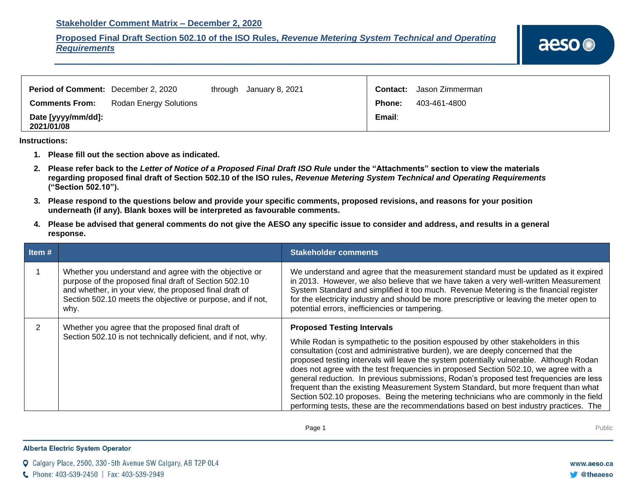## **Stakeholder Comment Matrix – December 2, 2020**

## **Proposed Final Draft Section 502.10 of the ISO Rules,** *Revenue Metering System Technical and Operating Requirements*

| Period of Comment: December 2, 2020 |                               | through January 8, 2021 |        | <b>Contact:</b> Jason Zimmerman |
|-------------------------------------|-------------------------------|-------------------------|--------|---------------------------------|
| <b>Comments From:</b>               | <b>Rodan Energy Solutions</b> |                         | Phone: | 403-461-4800                    |
| Date [yyyy/mm/dd]:<br>2021/01/08    |                               |                         | Email: |                                 |

**Instructions:** 

- **1. Please fill out the section above as indicated.**
- **2. Please refer back to the** *Letter of Notice of a Proposed Final Draft ISO Rule* **under the "Attachments" section to view the materials regarding proposed final draft of Section 502.10 of the ISO rules,** *Revenue Metering System Technical and Operating Requirements* **("Section 502.10").**
- **3. Please respond to the questions below and provide your specific comments, proposed revisions, and reasons for your position underneath (if any). Blank boxes will be interpreted as favourable comments.**
- **4. Please be advised that general comments do not give the AESO any specific issue to consider and address, and results in a general response.**

| Item $#$ |                                                                                                                                                                                                                                                 | <b>Stakeholder comments</b>                                                                                                                                                                                                                                                                                                                                                                                                                                                                                                                                                                                                                                                                                                                                     |
|----------|-------------------------------------------------------------------------------------------------------------------------------------------------------------------------------------------------------------------------------------------------|-----------------------------------------------------------------------------------------------------------------------------------------------------------------------------------------------------------------------------------------------------------------------------------------------------------------------------------------------------------------------------------------------------------------------------------------------------------------------------------------------------------------------------------------------------------------------------------------------------------------------------------------------------------------------------------------------------------------------------------------------------------------|
|          | Whether you understand and agree with the objective or<br>purpose of the proposed final draft of Section 502.10<br>and whether, in your view, the proposed final draft of<br>Section 502.10 meets the objective or purpose, and if not,<br>why. | We understand and agree that the measurement standard must be updated as it expired<br>in 2013. However, we also believe that we have taken a very well-written Measurement<br>System Standard and simplified it too much. Revenue Metering is the financial register<br>for the electricity industry and should be more prescriptive or leaving the meter open to<br>potential errors, inefficiencies or tampering.                                                                                                                                                                                                                                                                                                                                            |
|          | Whether you agree that the proposed final draft of<br>Section 502.10 is not technically deficient, and if not, why.                                                                                                                             | <b>Proposed Testing Intervals</b><br>While Rodan is sympathetic to the position espoused by other stakeholders in this<br>consultation (cost and administrative burden), we are deeply concerned that the<br>proposed testing intervals will leave the system potentially vulnerable. Although Rodan<br>does not agree with the test frequencies in proposed Section 502.10, we agree with a<br>general reduction. In previous submissions, Rodan's proposed test frequencies are less<br>frequent than the existing Measurement System Standard, but more frequent than what<br>Section 502.10 proposes. Being the metering technicians who are commonly in the field<br>performing tests, these are the recommendations based on best industry practices. The |

## **Alberta Electric System Operator**

Q Calgary Place, 2500, 330-5th Avenue SW Calgary, AB T2P 0L4

C Phone: 403-539-2450 | Fax: 403-539-2949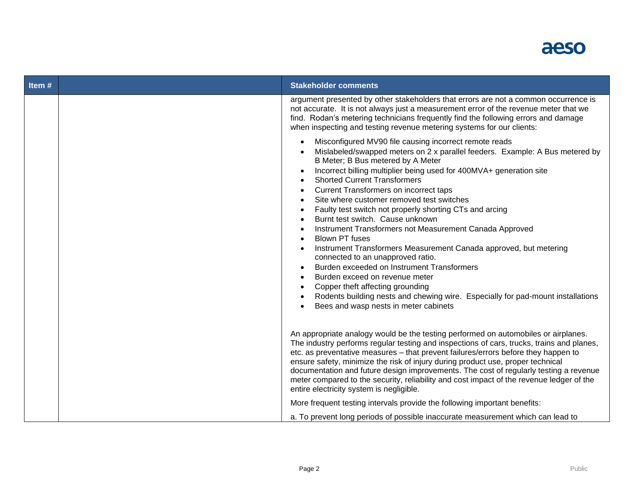

| Item# | <b>Stakeholder comments</b>                                                                                                                                                                                                                                                                                                                                                                                                                                                                                                                                                                                                                                                                                                                                                                                                                                                                                                   |
|-------|-------------------------------------------------------------------------------------------------------------------------------------------------------------------------------------------------------------------------------------------------------------------------------------------------------------------------------------------------------------------------------------------------------------------------------------------------------------------------------------------------------------------------------------------------------------------------------------------------------------------------------------------------------------------------------------------------------------------------------------------------------------------------------------------------------------------------------------------------------------------------------------------------------------------------------|
|       | argument presented by other stakeholders that errors are not a common occurrence is<br>not accurate. It is not always just a measurement error of the revenue meter that we<br>find. Rodan's metering technicians frequently find the following errors and damage<br>when inspecting and testing revenue metering systems for our clients:                                                                                                                                                                                                                                                                                                                                                                                                                                                                                                                                                                                    |
|       | Misconfigured MV90 file causing incorrect remote reads<br>Mislabeled/swapped meters on 2 x parallel feeders. Example: A Bus metered by<br>B Meter; B Bus metered by A Meter<br>Incorrect billing multiplier being used for 400MVA+ generation site<br><b>Shorted Current Transformers</b><br>Current Transformers on incorrect taps<br>Site where customer removed test switches<br>Faulty test switch not properly shorting CTs and arcing<br>Burnt test switch. Cause unknown<br>Instrument Transformers not Measurement Canada Approved<br><b>Blown PT fuses</b><br>Instrument Transformers Measurement Canada approved, but metering<br>connected to an unapproved ratio.<br>Burden exceeded on Instrument Transformers<br>Burden exceed on revenue meter<br>Copper theft affecting grounding<br>Rodents building nests and chewing wire. Especially for pad-mount installations<br>Bees and wasp nests in meter cabinets |
|       | An appropriate analogy would be the testing performed on automobiles or airplanes.<br>The industry performs regular testing and inspections of cars, trucks, trains and planes,<br>etc. as preventative measures - that prevent failures/errors before they happen to<br>ensure safety, minimize the risk of injury during product use, proper technical<br>documentation and future design improvements. The cost of regularly testing a revenue<br>meter compared to the security, reliability and cost impact of the revenue ledger of the<br>entire electricity system is negligible.<br>More frequent testing intervals provide the following important benefits:                                                                                                                                                                                                                                                        |
|       | a. To prevent long periods of possible inaccurate measurement which can lead to                                                                                                                                                                                                                                                                                                                                                                                                                                                                                                                                                                                                                                                                                                                                                                                                                                               |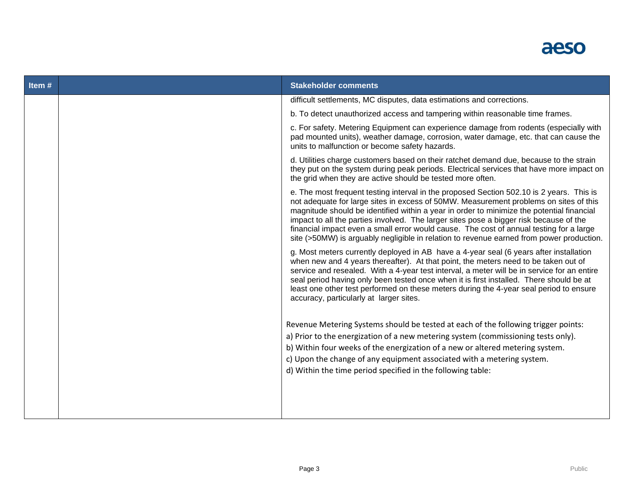## aeso

| Item# | <b>Stakeholder comments</b>                                                                                                                                                                                                                                                                                                                                                                                                                                                                                                                                     |
|-------|-----------------------------------------------------------------------------------------------------------------------------------------------------------------------------------------------------------------------------------------------------------------------------------------------------------------------------------------------------------------------------------------------------------------------------------------------------------------------------------------------------------------------------------------------------------------|
|       | difficult settlements, MC disputes, data estimations and corrections.                                                                                                                                                                                                                                                                                                                                                                                                                                                                                           |
|       | b. To detect unauthorized access and tampering within reasonable time frames.                                                                                                                                                                                                                                                                                                                                                                                                                                                                                   |
|       | c. For safety. Metering Equipment can experience damage from rodents (especially with<br>pad mounted units), weather damage, corrosion, water damage, etc. that can cause the<br>units to malfunction or become safety hazards.                                                                                                                                                                                                                                                                                                                                 |
|       | d. Utilities charge customers based on their ratchet demand due, because to the strain<br>they put on the system during peak periods. Electrical services that have more impact on<br>the grid when they are active should be tested more often.                                                                                                                                                                                                                                                                                                                |
|       | e. The most frequent testing interval in the proposed Section 502.10 is 2 years. This is<br>not adequate for large sites in excess of 50MW. Measurement problems on sites of this<br>magnitude should be identified within a year in order to minimize the potential financial<br>impact to all the parties involved. The larger sites pose a bigger risk because of the<br>financial impact even a small error would cause. The cost of annual testing for a large<br>site (>50MW) is arguably negligible in relation to revenue earned from power production. |
|       | g. Most meters currently deployed in AB have a 4-year seal (6 years after installation<br>when new and 4 years thereafter). At that point, the meters need to be taken out of<br>service and resealed. With a 4-year test interval, a meter will be in service for an entire<br>seal period having only been tested once when it is first installed. There should be at<br>least one other test performed on these meters during the 4-year seal period to ensure<br>accuracy, particularly at larger sites.                                                    |
|       | Revenue Metering Systems should be tested at each of the following trigger points:<br>a) Prior to the energization of a new metering system (commissioning tests only).<br>b) Within four weeks of the energization of a new or altered metering system.<br>c) Upon the change of any equipment associated with a metering system.<br>d) Within the time period specified in the following table:                                                                                                                                                               |
|       |                                                                                                                                                                                                                                                                                                                                                                                                                                                                                                                                                                 |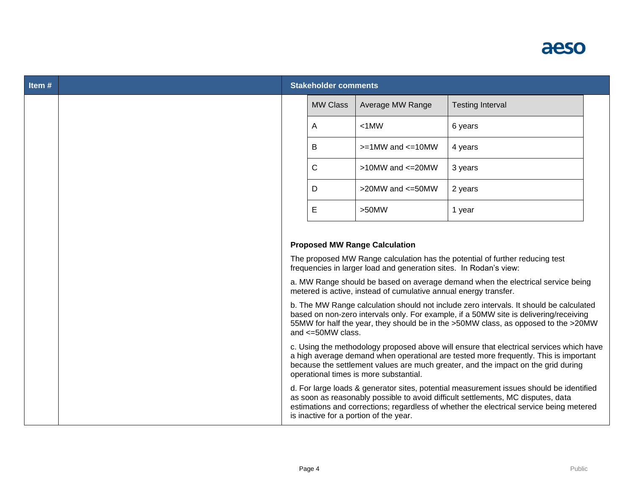

| Item# | <b>Stakeholder comments</b> |                                                                   |                                                                                                                                                                                                                                                                        |  |
|-------|-----------------------------|-------------------------------------------------------------------|------------------------------------------------------------------------------------------------------------------------------------------------------------------------------------------------------------------------------------------------------------------------|--|
|       | <b>MW Class</b>             | Average MW Range                                                  | <b>Testing Interval</b>                                                                                                                                                                                                                                                |  |
|       | Α                           | $< 1$ MW                                                          | 6 years                                                                                                                                                                                                                                                                |  |
|       | B                           | $>=1$ MW and $<=10$ MW                                            | 4 years                                                                                                                                                                                                                                                                |  |
|       | C                           | $>10$ MW and $<=20$ MW                                            | 3 years                                                                                                                                                                                                                                                                |  |
|       | D                           | >20MW and <= 50MW                                                 | 2 years                                                                                                                                                                                                                                                                |  |
|       | E                           | $>50$ MW                                                          | 1 year                                                                                                                                                                                                                                                                 |  |
|       |                             |                                                                   |                                                                                                                                                                                                                                                                        |  |
|       |                             | <b>Proposed MW Range Calculation</b>                              |                                                                                                                                                                                                                                                                        |  |
|       |                             | frequencies in larger load and generation sites. In Rodan's view: | The proposed MW Range calculation has the potential of further reducing test                                                                                                                                                                                           |  |
|       |                             | metered is active, instead of cumulative annual energy transfer.  | a. MW Range should be based on average demand when the electrical service being                                                                                                                                                                                        |  |
|       | and $\leq 50$ MW class.     |                                                                   | b. The MW Range calculation should not include zero intervals. It should be calculated<br>based on non-zero intervals only. For example, if a 50MW site is delivering/receiving<br>55MW for half the year, they should be in the >50MW class, as opposed to the >20MW  |  |
|       |                             | operational times is more substantial.                            | c. Using the methodology proposed above will ensure that electrical services which have<br>a high average demand when operational are tested more frequently. This is important<br>because the settlement values are much greater, and the impact on the grid during   |  |
|       |                             | is inactive for a portion of the year.                            | d. For large loads & generator sites, potential measurement issues should be identified<br>as soon as reasonably possible to avoid difficult settlements, MC disputes, data<br>estimations and corrections; regardless of whether the electrical service being metered |  |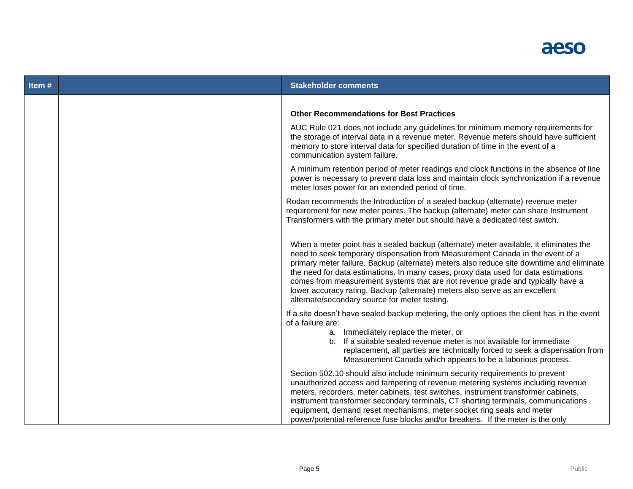

| Item# | <b>Stakeholder comments</b>                                                                                                                                                                                                                                                                                                                                                                                                                                                                                                                                                |
|-------|----------------------------------------------------------------------------------------------------------------------------------------------------------------------------------------------------------------------------------------------------------------------------------------------------------------------------------------------------------------------------------------------------------------------------------------------------------------------------------------------------------------------------------------------------------------------------|
|       | <b>Other Recommendations for Best Practices</b>                                                                                                                                                                                                                                                                                                                                                                                                                                                                                                                            |
|       | AUC Rule 021 does not include any guidelines for minimum memory requirements for<br>the storage of interval data in a revenue meter. Revenue meters should have sufficient<br>memory to store interval data for specified duration of time in the event of a<br>communication system failure.                                                                                                                                                                                                                                                                              |
|       | A minimum retention period of meter readings and clock functions in the absence of line<br>power is necessary to prevent data loss and maintain clock synchronization if a revenue<br>meter loses power for an extended period of time.                                                                                                                                                                                                                                                                                                                                    |
|       | Rodan recommends the Introduction of a sealed backup (alternate) revenue meter<br>requirement for new meter points. The backup (alternate) meter can share Instrument<br>Transformers with the primary meter but should have a dedicated test switch.                                                                                                                                                                                                                                                                                                                      |
|       | When a meter point has a sealed backup (alternate) meter available, it eliminates the<br>need to seek temporary dispensation from Measurement Canada in the event of a<br>primary meter failure. Backup (alternate) meters also reduce site downtime and eliminate<br>the need for data estimations. In many cases, proxy data used for data estimations<br>comes from measurement systems that are not revenue grade and typically have a<br>lower accuracy rating. Backup (alternate) meters also serve as an excellent<br>alternate/secondary source for meter testing. |
|       | If a site doesn't have sealed backup metering, the only options the client has in the event<br>of a failure are:<br>a. Immediately replace the meter, or<br>b. If a suitable sealed revenue meter is not available for immediate<br>replacement, all parties are technically forced to seek a dispensation from<br>Measurement Canada which appears to be a laborious process.                                                                                                                                                                                             |
|       | Section 502.10 should also include minimum security requirements to prevent<br>unauthorized access and tampering of revenue metering systems including revenue<br>meters, recorders, meter cabinets, test switches, instrument transformer cabinets,<br>instrument transformer secondary terminals, CT shorting terminals, communications<br>equipment, demand reset mechanisms, meter socket ring seals and meter<br>power/potential reference fuse blocks and/or breakers. If the meter is the only                                                                      |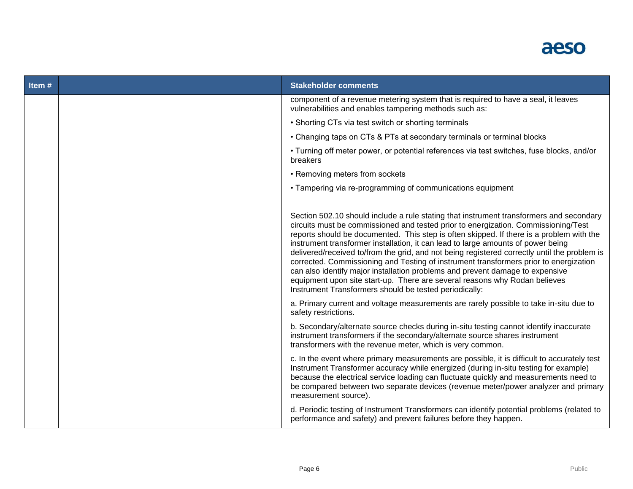

| Item# | <b>Stakeholder comments</b>                                                                                                                                                                                                                                                                                                                                                                                                                                                                                                                                                                                                                                                                                                                                                     |
|-------|---------------------------------------------------------------------------------------------------------------------------------------------------------------------------------------------------------------------------------------------------------------------------------------------------------------------------------------------------------------------------------------------------------------------------------------------------------------------------------------------------------------------------------------------------------------------------------------------------------------------------------------------------------------------------------------------------------------------------------------------------------------------------------|
|       | component of a revenue metering system that is required to have a seal, it leaves<br>vulnerabilities and enables tampering methods such as:                                                                                                                                                                                                                                                                                                                                                                                                                                                                                                                                                                                                                                     |
|       | • Shorting CTs via test switch or shorting terminals                                                                                                                                                                                                                                                                                                                                                                                                                                                                                                                                                                                                                                                                                                                            |
|       | • Changing taps on CTs & PTs at secondary terminals or terminal blocks                                                                                                                                                                                                                                                                                                                                                                                                                                                                                                                                                                                                                                                                                                          |
|       | • Turning off meter power, or potential references via test switches, fuse blocks, and/or<br>breakers                                                                                                                                                                                                                                                                                                                                                                                                                                                                                                                                                                                                                                                                           |
|       | • Removing meters from sockets                                                                                                                                                                                                                                                                                                                                                                                                                                                                                                                                                                                                                                                                                                                                                  |
|       | • Tampering via re-programming of communications equipment                                                                                                                                                                                                                                                                                                                                                                                                                                                                                                                                                                                                                                                                                                                      |
|       |                                                                                                                                                                                                                                                                                                                                                                                                                                                                                                                                                                                                                                                                                                                                                                                 |
|       | Section 502.10 should include a rule stating that instrument transformers and secondary<br>circuits must be commissioned and tested prior to energization. Commissioning/Test<br>reports should be documented. This step is often skipped. If there is a problem with the<br>instrument transformer installation, it can lead to large amounts of power being<br>delivered/received to/from the grid, and not being registered correctly until the problem is<br>corrected. Commissioning and Testing of instrument transformers prior to energization<br>can also identify major installation problems and prevent damage to expensive<br>equipment upon site start-up. There are several reasons why Rodan believes<br>Instrument Transformers should be tested periodically: |
|       | a. Primary current and voltage measurements are rarely possible to take in-situ due to<br>safety restrictions.                                                                                                                                                                                                                                                                                                                                                                                                                                                                                                                                                                                                                                                                  |
|       | b. Secondary/alternate source checks during in-situ testing cannot identify inaccurate<br>instrument transformers if the secondary/alternate source shares instrument<br>transformers with the revenue meter, which is very common.                                                                                                                                                                                                                                                                                                                                                                                                                                                                                                                                             |
|       | c. In the event where primary measurements are possible, it is difficult to accurately test<br>Instrument Transformer accuracy while energized (during in-situ testing for example)<br>because the electrical service loading can fluctuate quickly and measurements need to<br>be compared between two separate devices (revenue meter/power analyzer and primary<br>measurement source).                                                                                                                                                                                                                                                                                                                                                                                      |
|       | d. Periodic testing of Instrument Transformers can identify potential problems (related to<br>performance and safety) and prevent failures before they happen.                                                                                                                                                                                                                                                                                                                                                                                                                                                                                                                                                                                                                  |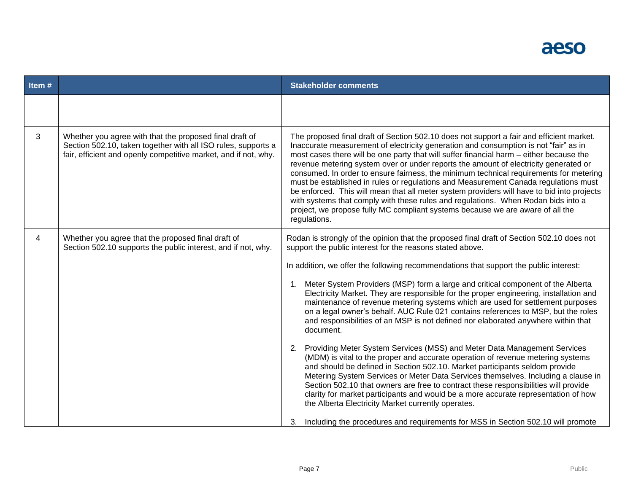

| Item#        |                                                                                                                                                                                             | <b>Stakeholder comments</b>                                                                                                                                                                                                                                                                                                                                                                                                                                                                                                                                                                                                                                                                                                                                                                                                               |
|--------------|---------------------------------------------------------------------------------------------------------------------------------------------------------------------------------------------|-------------------------------------------------------------------------------------------------------------------------------------------------------------------------------------------------------------------------------------------------------------------------------------------------------------------------------------------------------------------------------------------------------------------------------------------------------------------------------------------------------------------------------------------------------------------------------------------------------------------------------------------------------------------------------------------------------------------------------------------------------------------------------------------------------------------------------------------|
|              |                                                                                                                                                                                             |                                                                                                                                                                                                                                                                                                                                                                                                                                                                                                                                                                                                                                                                                                                                                                                                                                           |
| $\mathbf{3}$ | Whether you agree with that the proposed final draft of<br>Section 502.10, taken together with all ISO rules, supports a<br>fair, efficient and openly competitive market, and if not, why. | The proposed final draft of Section 502.10 does not support a fair and efficient market.<br>Inaccurate measurement of electricity generation and consumption is not "fair" as in<br>most cases there will be one party that will suffer financial harm - either because the<br>revenue metering system over or under reports the amount of electricity generated or<br>consumed. In order to ensure fairness, the minimum technical requirements for metering<br>must be established in rules or regulations and Measurement Canada regulations must<br>be enforced. This will mean that all meter system providers will have to bid into projects<br>with systems that comply with these rules and regulations. When Rodan bids into a<br>project, we propose fully MC compliant systems because we are aware of all the<br>regulations. |
| 4            | Whether you agree that the proposed final draft of<br>Section 502.10 supports the public interest, and if not, why.                                                                         | Rodan is strongly of the opinion that the proposed final draft of Section 502.10 does not<br>support the public interest for the reasons stated above.                                                                                                                                                                                                                                                                                                                                                                                                                                                                                                                                                                                                                                                                                    |
|              |                                                                                                                                                                                             | In addition, we offer the following recommendations that support the public interest:                                                                                                                                                                                                                                                                                                                                                                                                                                                                                                                                                                                                                                                                                                                                                     |
|              |                                                                                                                                                                                             | 1. Meter System Providers (MSP) form a large and critical component of the Alberta<br>Electricity Market. They are responsible for the proper engineering, installation and<br>maintenance of revenue metering systems which are used for settlement purposes<br>on a legal owner's behalf. AUC Rule 021 contains references to MSP, but the roles<br>and responsibilities of an MSP is not defined nor elaborated anywhere within that<br>document.                                                                                                                                                                                                                                                                                                                                                                                      |
|              |                                                                                                                                                                                             | 2. Providing Meter System Services (MSS) and Meter Data Management Services<br>(MDM) is vital to the proper and accurate operation of revenue metering systems<br>and should be defined in Section 502.10. Market participants seldom provide<br>Metering System Services or Meter Data Services themselves. Including a clause in<br>Section 502.10 that owners are free to contract these responsibilities will provide<br>clarity for market participants and would be a more accurate representation of how<br>the Alberta Electricity Market currently operates.                                                                                                                                                                                                                                                                     |
|              |                                                                                                                                                                                             | 3. Including the procedures and requirements for MSS in Section 502.10 will promote                                                                                                                                                                                                                                                                                                                                                                                                                                                                                                                                                                                                                                                                                                                                                       |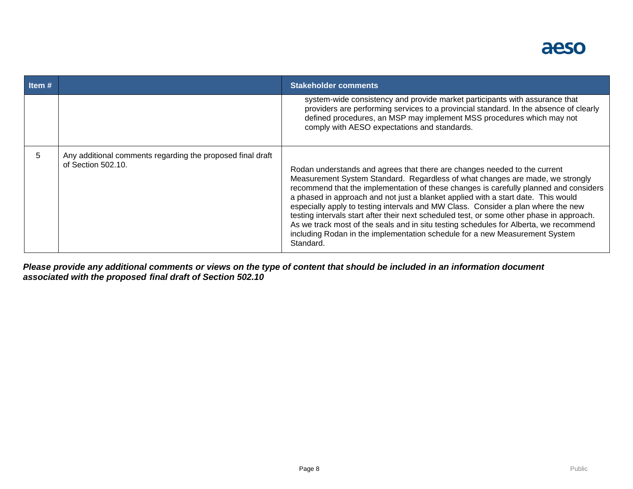

| Item# |                                                                                  | <b>Stakeholder comments</b>                                                                                                                                                                                                                                                                                                                                                                                                                                                                                                                                                                                                                                                                                     |
|-------|----------------------------------------------------------------------------------|-----------------------------------------------------------------------------------------------------------------------------------------------------------------------------------------------------------------------------------------------------------------------------------------------------------------------------------------------------------------------------------------------------------------------------------------------------------------------------------------------------------------------------------------------------------------------------------------------------------------------------------------------------------------------------------------------------------------|
|       |                                                                                  | system-wide consistency and provide market participants with assurance that<br>providers are performing services to a provincial standard. In the absence of clearly<br>defined procedures, an MSP may implement MSS procedures which may not<br>comply with AESO expectations and standards.                                                                                                                                                                                                                                                                                                                                                                                                                   |
| 5.    | Any additional comments regarding the proposed final draft<br>of Section 502.10. | Rodan understands and agrees that there are changes needed to the current<br>Measurement System Standard. Regardless of what changes are made, we strongly<br>recommend that the implementation of these changes is carefully planned and considers<br>a phased in approach and not just a blanket applied with a start date. This would<br>especially apply to testing intervals and MW Class. Consider a plan where the new<br>testing intervals start after their next scheduled test, or some other phase in approach.<br>As we track most of the seals and in situ testing schedules for Alberta, we recommend<br>including Rodan in the implementation schedule for a new Measurement System<br>Standard. |

*Please provide any additional comments or views on the type of content that should be included in an information document associated with the proposed final draft of Section 502.10*